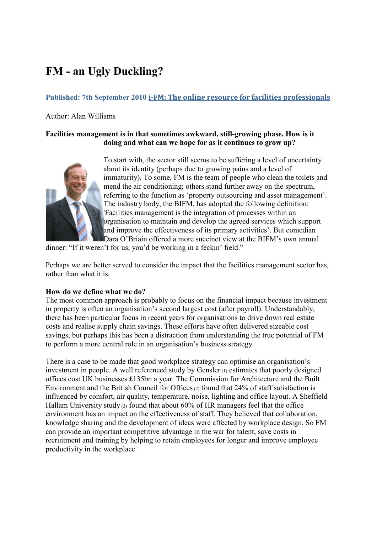# **FM - an Ugly Duckling?**

# **Published: 7th September 2010 i-FM: The online resource for facilities professionals**

Author: Alan Williams

## **Facilities management is in that sometimes awkward, still-growing phase. How is it doing and what can we hope for as it continues to grow up?**



To start with, the sector still seems to be suffering a level of uncertainty about its identity (perhaps due to growing pains and a level of immaturity). To some, FM is the team of people who clean the toilets and mend the air conditioning; others stand further away on the spectrum, referring to the function as "property outsourcing and asset management". The industry body, the BIFM, has adopted the following definition: 'Facilities management is the integration of processes within an organisation to maintain and develop the agreed services which support and improve the effectiveness of its primary activities'. But comedian Dara O'Briain offered a more succinct view at the BIFM's own annual

dinner: "If it weren't for us, you'd be working in a feckin' field."

Perhaps we are better served to consider the impact that the facilities management sector has, rather than what it is.

## **How do we define what we do?**

The most common approach is probably to focus on the financial impact because investment in property is often an organisation's second largest cost (after payroll). Understandably, there has been particular focus in recent years for organisations to drive down real estate costs and realise supply chain savings. These efforts have often delivered sizeable cost savings, but perhaps this has been a distraction from understanding the true potential of FM to perform a more central role in an organisation"s business strategy.

There is a case to be made that good workplace strategy can optimise an organisation's investment in people. A well referenced study by Gensler (1) estimates that poorly designed offices cost UK businesses £135bn a year. The Commission for Architecture and the Built Environment and the British Council for Offices  $(2)$  found that 24% of staff satisfaction is influenced by comfort, air quality, temperature, noise, lighting and office layout. A Sheffield Hallam University study  $(3)$  found that about 60% of HR managers feel that the office environment has an impact on the effectiveness of staff. They believed that collaboration, knowledge sharing and the development of ideas were affected by workplace design. So FM can provide an important competitive advantage in the war for talent, save costs in recruitment and training by helping to retain employees for longer and improve employee productivity in the workplace.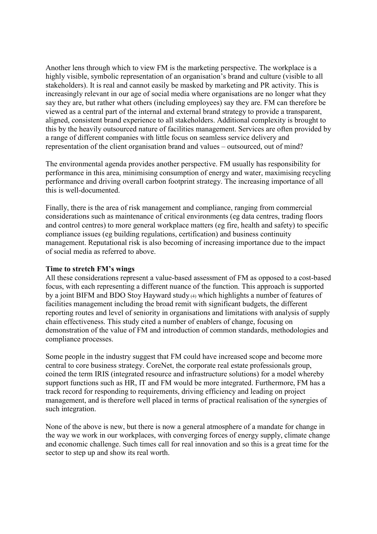Another lens through which to view FM is the marketing perspective. The workplace is a highly visible, symbolic representation of an organisation's brand and culture (visible to all stakeholders). It is real and cannot easily be masked by marketing and PR activity. This is increasingly relevant in our age of social media where organisations are no longer what they say they are, but rather what others (including employees) say they are. FM can therefore be viewed as a central part of the internal and external brand strategy to provide a transparent, aligned, consistent brand experience to all stakeholders. Additional complexity is brought to this by the heavily outsourced nature of facilities management. Services are often provided by a range of different companies with little focus on seamless service delivery and representation of the client organisation brand and values – outsourced, out of mind?

The environmental agenda provides another perspective. FM usually has responsibility for performance in this area, minimising consumption of energy and water, maximising recycling performance and driving overall carbon footprint strategy. The increasing importance of all this is well-documented.

Finally, there is the area of risk management and compliance, ranging from commercial considerations such as maintenance of critical environments (eg data centres, trading floors and control centres) to more general workplace matters (eg fire, health and safety) to specific compliance issues (eg building regulations, certification) and business continuity management. Reputational risk is also becoming of increasing importance due to the impact of social media as referred to above.

#### **Time to stretch FM's wings**

All these considerations represent a value-based assessment of FM as opposed to a cost-based focus, with each representing a different nuance of the function. This approach is supported by a joint BIFM and BDO Stoy Hayward study (4) which highlights a number of features of facilities management including the broad remit with significant budgets, the different reporting routes and level of seniority in organisations and limitations with analysis of supply chain effectiveness. This study cited a number of enablers of change, focusing on demonstration of the value of FM and introduction of common standards, methodologies and compliance processes.

Some people in the industry suggest that FM could have increased scope and become more central to core business strategy. CoreNet, the corporate real estate professionals group, coined the term IRIS (integrated resource and infrastructure solutions) for a model whereby support functions such as HR, IT and FM would be more integrated. Furthermore, FM has a track record for responding to requirements, driving efficiency and leading on project management, and is therefore well placed in terms of practical realisation of the synergies of such integration.

None of the above is new, but there is now a general atmosphere of a mandate for change in the way we work in our workplaces, with converging forces of energy supply, climate change and economic challenge. Such times call for real innovation and so this is a great time for the sector to step up and show its real worth.